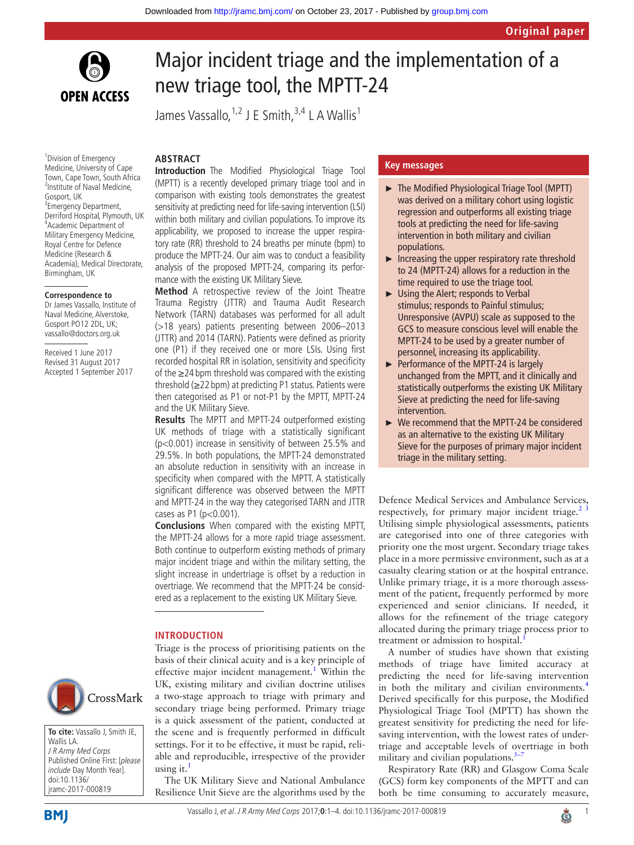

# Major incident triage and the implementation of a new triage tool, the MPTT-24

James Vassallo,  $1,2$  J E Smith,  $3,4$  L A Wallis<sup>1</sup>

# **ARSTRACT**

<sup>1</sup> Division of Emergency Medicine, University of Cape Town, Cape Town, South Africa <sup>2</sup>Institute of Naval Medicine, Gosport, UK <sup>3</sup>Emergency Department, Derriford Hospital, Plymouth, UK 4 Academic Department of Military Emergency Medicine, Royal Centre for Defence Medicine (Research & Academia), Medical Directorate, Birmingham, UK

#### **Correspondence to**

Dr James Vassallo, Institute of Naval Medicine, Alverstoke, Gosport PO12 2DL, UK; vassallo@doctors.org.uk

Received 1 June 2017 Revised 31 August 2017 Accepted 1 September 2017 **Introduction** The Modified Physiological Triage Tool (MPTT) is a recently developed primary triage tool and in comparison with existing tools demonstrates the greatest sensitivity at predicting need for life-saving intervention (LSI) within both military and civilian populations. To improve its applicability, we proposed to increase the upper respiratory rate (RR) threshold to 24 breaths per minute (bpm) to produce the MPTT-24. Our aim was to conduct a feasibility analysis of the proposed MPTT-24, comparing its performance with the existing UK Military Sieve.

**Method** A retrospective review of the Joint Theatre Trauma Registry (JTTR) and Trauma Audit Research Network (TARN) databases was performed for all adult (>18 years) patients presenting between 2006–2013 (JTTR) and 2014 (TARN). Patients were defined as priority one (P1) if they received one or more LSIs. Using first recorded hospital RR in isolation, sensitivity and specificity of the ≥24 bpm threshold was compared with the existing threshold (≥22 bpm) at predicting P1 status. Patients were then categorised as P1 or not-P1 by the MPTT, MPTT-24 and the UK Military Sieve.

**Results** The MPTT and MPTT-24 outperformed existing UK methods of triage with a statistically significant (p<0.001) increase in sensitivity of between 25.5% and 29.5%. In both populations, the MPTT-24 demonstrated an absolute reduction in sensitivity with an increase in specificity when compared with the MPTT. A statistically significant difference was observed between the MPTT and MPTT-24 in the way they categorised TARN and JTTR cases as P1 (p<0.001).

**Conclusions** When compared with the existing MPTT, the MPTT-24 allows for a more rapid triage assessment. Both continue to outperform existing methods of primary major incident triage and within the military setting, the slight increase in undertriage is offset by a reduction in overtriage. We recommend that the MPTT-24 be considered as a replacement to the existing UK Military Sieve.

#### **Introduction**

Triage is the process of prioritising patients on the basis of their clinical acuity and is a key principle of effective major incident management.<sup>1</sup> Within the UK, existing military and civilian doctrine utilises a two-stage approach to triage with primary and secondary triage being performed. Primary triage is a quick assessment of the patient, conducted at the scene and is frequently performed in difficult settings. For it to be effective, it must be rapid, reliable and reproducible, irrespective of the provider using it. $<sup>1</sup>$ </sup>

The UK Military Sieve and National Ambulance Resilience Unit Sieve are the algorithms used by the

### **Key messages**

- ► The Modified Physiological Triage Tool (MPTT) was derived on a military cohort using logistic regression and outperforms all existing triage tools at predicting the need for life-saving intervention in both military and civilian populations.
- $\blacktriangleright$  Increasing the upper respiratory rate threshold to 24 (MPTT-24) allows for a reduction in the time required to use the triage tool.
- ► Using the Alert; responds to Verbal stimulus; responds to Painful stimulus; Unresponsive (AVPU) scale as supposed to the GCS to measure conscious level will enable the MPTT-24 to be used by a greater number of personnel, increasing its applicability.
- ► Performance of the MPTT-24 is largely unchanged from the MPTT, and it clinically and statistically outperforms the existing UK Military Sieve at predicting the need for life-saving intervention.
- ► We recommend that the MPTT-24 be considered as an alternative to the existing UK Military Sieve for the purposes of primary major incident triage in the military setting.

Defence Medical Services and Ambulance Services, respectively, for primary major incident triage. $<sup>2</sup>$ </sup> Utilising simple physiological assessments, patients are categorised into one of three categories with priority one the most urgent. Secondary triage takes place in a more permissive environment, such as at a casualty clearing station or at the hospital entrance. Unlike primary triage, it is a more thorough assessment of the patient, frequently performed by more experienced and senior clinicians. If needed, it allows for the refinement of the triage category allocated during the primary triage process prior to treatment or admission to hospital.<sup>[1](#page-3-0)</sup>

A number of studies have shown that existing methods of triage have limited accuracy at predicting the need for life-saving intervention in both the military and civilian environments.<sup>[4](#page-3-2)</sup> Derived specifically for this purpose, the Modified Physiological Triage Tool (MPTT) has shown the greatest sensitivity for predicting the need for lifesaving intervention, with the lowest rates of undertriage and acceptable levels of overtriage in both military and civilian populations. $5-7$ 

Respiratory Rate (RR) and Glasgow Coma Scale (GCS) form key components of the MPTT and can both be time consuming to accurately measure,



**To cite:** Vassallo J, Smith JE, Wallis LA. J R Army Med Corps Published Online First: [please include Day Month Year]. doi:10.1136/ jramc-2017-000819

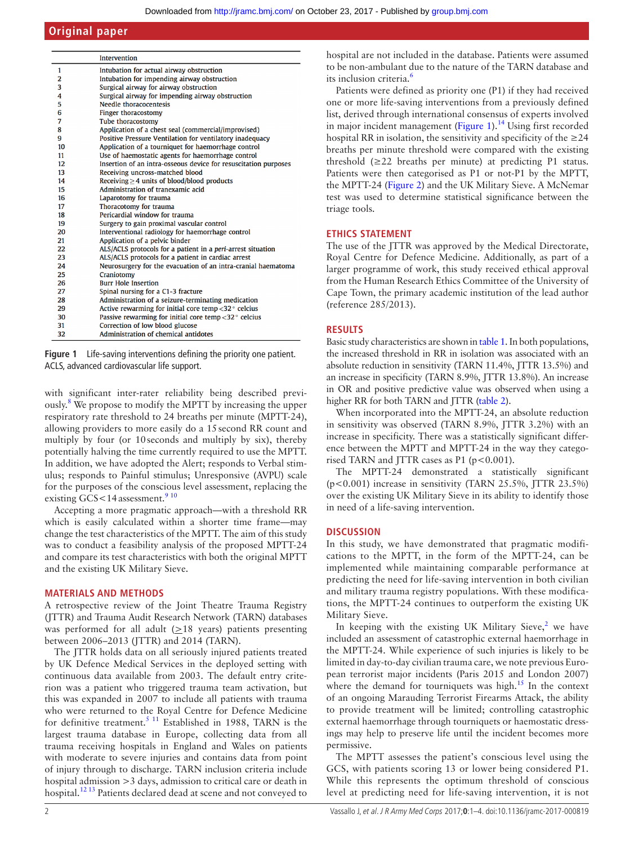# **Original paper**

|                | <b>Intervention</b>                                              |
|----------------|------------------------------------------------------------------|
| 1              | Intubation for actual airway obstruction                         |
| $\overline{2}$ | Intubation for impending airway obstruction                      |
| 3              | Surgical airway for airway obstruction                           |
| 4              | Surgical airway for impending airway obstruction                 |
| 5              | Needle thoracocentesis                                           |
| 6              | Finger thoracostomy                                              |
| 7              | Tube thoracostomy                                                |
| 8              | Application of a chest seal (commercial/improvised)              |
| 9              | Positive Pressure Ventilation for ventilatory inadequacy         |
| 10             | Application of a tourniquet for haemorrhage control              |
| 11             | Use of haemostatic agents for haemorrhage control                |
| 12             | Insertion of an intra-osseous device for resuscitation purposes  |
| 13             | Receiving uncross-matched blood                                  |
| 14             | Receiving $\geq$ 4 units of blood/blood products                 |
| 15             | Administration of tranexamic acid                                |
| 16             | Laparotomy for trauma                                            |
| 17             | Thoracotomy for trauma                                           |
| 18             | Pericardial window for trauma                                    |
| 19             | Surgery to gain proximal vascular control                        |
| 20             | Interventional radiology for haemorrhage control                 |
| 21             | Application of a pelvic binder                                   |
| 22             | ALS/ACLS protocols for a patient in a peri-arrest situation      |
| 23             | ALS/ACLS protocols for a patient in cardiac arrest               |
| 24             | Neurosurgery for the evacuation of an intra-cranial haematoma    |
| 25             | Craniotomy                                                       |
| 26             | <b>Burr Hole Insertion</b>                                       |
| 27             | Spinal nursing for a C1-3 fracture                               |
| 28             | Administration of a seizure-terminating medication               |
| 29             | Active rewarming for initial core temp $<$ 32 $\degree$ celcius  |
| 30             | Passive rewarming for initial core temp $<$ 32 $\degree$ celcius |
| 31             | Correction of low blood glucose                                  |
| 32             | Administration of chemical antidotes                             |

<span id="page-1-0"></span>**Figure 1** Life-saving interventions defining the priority one patient. ACLS, advanced cardiovascular life support.

with significant inter-rater reliability being described previ-ously.<sup>[8](#page-3-4)</sup> We propose to modify the MPTT by increasing the upper respiratory rate threshold to 24 breaths per minute (MPTT-24), allowing providers to more easily do a 15second RR count and multiply by four (or 10seconds and multiply by six), thereby potentially halving the time currently required to use the MPTT. In addition, we have adopted the Alert; responds to Verbal stimulus; responds to Painful stimulus; Unresponsive (AVPU) scale for the purposes of the conscious level assessment, replacing the existing GCS < 14 assessment.<sup>[9 10](#page-3-5)</sup>

Accepting a more pragmatic approach—with a threshold RR which is easily calculated within a shorter time frame—may change the test characteristics of the MPTT. The aim of this study was to conduct a feasibility analysis of the proposed MPTT-24 and compare its test characteristics with both the original MPTT and the existing UK Military Sieve.

## **Materials and methods**

A retrospective review of the Joint Theatre Trauma Registry (JTTR) and Trauma Audit Research Network (TARN) databases was performed for all adult  $(\geq 18$  years) patients presenting between 2006–2013 (JTTR) and 2014 (TARN).

The JTTR holds data on all seriously injured patients treated by UK Defence Medical Services in the deployed setting with continuous data available from 2003. The default entry criterion was a patient who triggered trauma team activation, but this was expanded in 2007 to include all patients with trauma who were returned to the Royal Centre for Defence Medicine for definitive treatment.<sup>5 11</sup> Established in 1988, TARN is the largest trauma database in Europe, collecting data from all trauma receiving hospitals in England and Wales on patients with moderate to severe injuries and contains data from point of injury through to discharge. TARN inclusion criteria include hospital admission >3 days, admission to critical care or death in hospital.<sup>[12 13](#page-3-6)</sup> Patients declared dead at scene and not conveyed to

hospital are not included in the database. Patients were assumed to be non-ambulant due to the nature of the TARN database and its inclusion criteria.<sup>6</sup>

Patients were defined as priority one (P1) if they had received one or more life-saving interventions from a previously defined list, derived through international consensus of experts involved in major incident management [\(Figure](#page-1-0) 1). $<sup>14</sup>$  $<sup>14</sup>$  $<sup>14</sup>$  Using first recorded</sup> hospital RR in isolation, the sensitivity and specificity of the  $\geq 24$ breaths per minute threshold were compared with the existing threshold (≥22 breaths per minute) at predicting P1 status. Patients were then categorised as P1 or not-P1 by the MPTT, the MPTT-24 [\(Figure](#page-2-0) 2) and the UK Military Sieve. A McNemar test was used to determine statistical significance between the triage tools.

## **Ethics statement**

The use of the JTTR was approved by the Medical Directorate, Royal Centre for Defence Medicine. Additionally, as part of a larger programme of work, this study received ethical approval from the Human Research Ethics Committee of the University of Cape Town, the primary academic institution of the lead author (reference 285/2013).

## **Results**

Basic study characteristics are shown in [table](#page-2-1) 1. In both populations, the increased threshold in RR in isolation was associated with an absolute reduction in sensitivity (TARN 11.4%, JTTR 13.5%) and an increase in specificity (TARN 8.9%, JTTR 13.8%). An increase in OR and positive predictive value was observed when using a higher RR for both TARN and JTTR [\(table](#page-3-9) 2).

When incorporated into the MPTT-24, an absolute reduction in sensitivity was observed (TARN 8.9%, JTTR 3.2%) with an increase in specificity. There was a statistically significant difference between the MPTT and MPTT-24 in the way they categorised TARN and JTTR cases as  $P1$  ( $p < 0.001$ ).

The MPTT-24 demonstrated a statistically significant (p<0.001) increase in sensitivity (TARN 25.5%, JTTR 23.5%) over the existing UK Military Sieve in its ability to identify those in need of a life-saving intervention.

## **Discussion**

In this study, we have demonstrated that pragmatic modifications to the MPTT, in the form of the MPTT-24, can be implemented while maintaining comparable performance at predicting the need for life-saving intervention in both civilian and military trauma registry populations. With these modifications, the MPTT-24 continues to outperform the existing UK Military Sieve.

In keeping with the existing UK Military Sieve, $2$  we have included an assessment of catastrophic external haemorrhage in the MPTT-24. While experience of such injuries is likely to be limited in day-to-day civilian trauma care, we note previous European terrorist major incidents (Paris 2015 and London 2007) where the demand for tourniquets was high.<sup>15</sup> In the context of an ongoing Marauding Terrorist Firearms Attack, the ability to provide treatment will be limited; controlling catastrophic external haemorrhage through tourniquets or haemostatic dressings may help to preserve life until the incident becomes more permissive.

The MPTT assesses the patient's conscious level using the GCS, with patients scoring 13 or lower being considered P1. While this represents the optimum threshold of conscious level at predicting need for life-saving intervention, it is not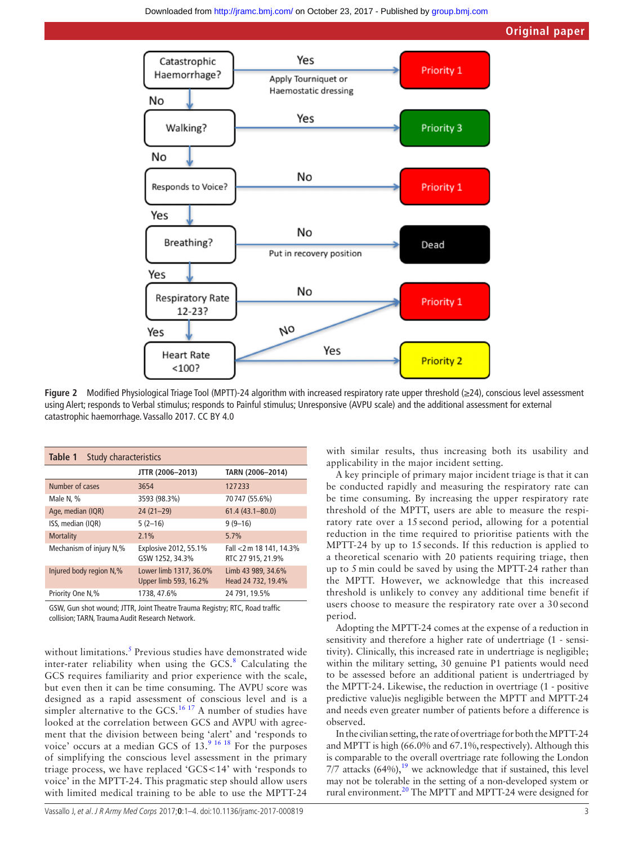

**Figure 2** Modified Physiological Triage Tool (MPTT)-24 algorithm with increased respiratory rate upper threshold (≥24), conscious level assessment using Alert; responds to Verbal stimulus; responds to Painful stimulus; Unresponsive (AVPU scale) and the additional assessment for external catastrophic haemorrhage. Vassallo 2017. CC BY 4.0

<span id="page-2-1"></span>

| Table 1<br>Study characteristics |                                                 |                                              |  |  |  |  |  |
|----------------------------------|-------------------------------------------------|----------------------------------------------|--|--|--|--|--|
|                                  | JTTR (2006-2013)                                | TARN (2006-2014)                             |  |  |  |  |  |
| Number of cases                  | 3654                                            | 127233                                       |  |  |  |  |  |
| Male N, %                        | 3593 (98.3%)                                    | 70747 (55.6%)                                |  |  |  |  |  |
| Age, median (IQR)                | $24(21-29)$                                     | $61.4(43.1 - 80.0)$                          |  |  |  |  |  |
| ISS, median (IQR)                | $5(2-16)$                                       | $9(9-16)$                                    |  |  |  |  |  |
| <b>Mortality</b>                 | 2.1%                                            | 5.7%                                         |  |  |  |  |  |
| Mechanism of injury N,%          | Explosive 2012, 55.1%<br>GSW 1252, 34.3%        | Fall <2 m 18 141, 14.3%<br>RTC 27 915, 21.9% |  |  |  |  |  |
| Injured body region N,%          | Lower limb 1317, 36.0%<br>Upper limb 593, 16.2% | Limb 43 989, 34.6%<br>Head 24 732, 19.4%     |  |  |  |  |  |
| Priority One N,%                 | 1738, 47.6%                                     | 24 791, 19.5%                                |  |  |  |  |  |

GSW, Gun shot wound; JTTR, Joint Theatre Trauma Registry; RTC, Road traffic collision; TARN, Trauma Audit Research Network.

without limitations.<sup>[5](#page-3-3)</sup> Previous studies have demonstrated wide inter-rater reliability when using the GCS. $8$  Calculating the GCS requires familiarity and prior experience with the scale, but even then it can be time consuming. The AVPU score was designed as a rapid assessment of conscious level and is a simpler alternative to the GCS.<sup>[16 17](#page-3-11)</sup> A number of studies have looked at the correlation between GCS and AVPU with agreement that the division between being 'alert' and 'responds to voice' occurs at a median GCS of  $13.^9$  16 18 For the purposes of simplifying the conscious level assessment in the primary triage process, we have replaced 'GCS<14' with 'responds to voice' in the MPTT-24. This pragmatic step should allow users with limited medical training to be able to use the MPTT-24

<span id="page-2-0"></span>with similar results, thus increasing both its usability and applicability in the major incident setting.

A key principle of primary major incident triage is that it can be conducted rapidly and measuring the respiratory rate can be time consuming. By increasing the upper respiratory rate threshold of the MPTT, users are able to measure the respiratory rate over a 15 second period, allowing for a potential reduction in the time required to prioritise patients with the MPTT-24 by up to 15 seconds. If this reduction is applied to a theoretical scenario with 20 patients requiring triage, then up to 5 min could be saved by using the MPTT-24 rather than the MPTT. However, we acknowledge that this increased threshold is unlikely to convey any additional time benefit if users choose to measure the respiratory rate over a 30 second period.

Adopting the MPTT-24 comes at the expense of a reduction in sensitivity and therefore a higher rate of undertriage (1 - sensitivity). Clinically, this increased rate in undertriage is negligible; within the military setting, 30 genuine P1 patients would need to be assessed before an additional patient is undertriaged by the MPTT-24. Likewise, the reduction in overtriage (1 - positive predictive value)is negligible between the MPTT and MPTT-24 and needs even greater number of patients before a difference is observed.

In the civilian setting, the rate of overtriage for both the MPTT-24 and MPTT is high (66.0% and 67.1%, respectively). Although this is comparable to the overall overtriage rate following the London 7/7 attacks  $(64\%)$ ,<sup>19</sup> we acknowledge that if sustained, this level may not be tolerable in the setting of a non-developed system or rural environment.[20](#page-3-13) The MPTT and MPTT-24 were designed for